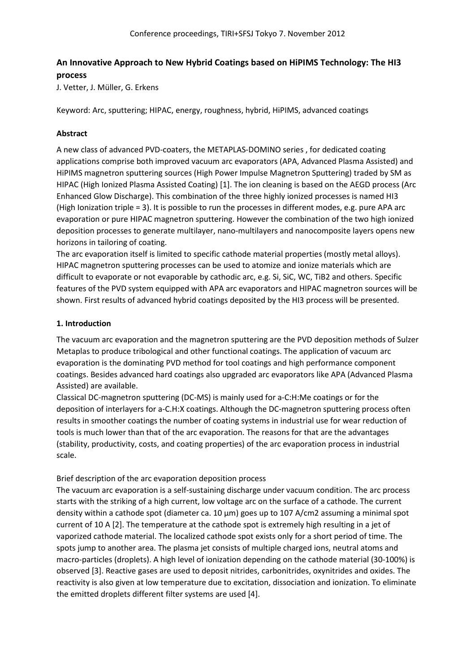# **An Innovative Approach to New Hybrid Coatings based on HiPIMS Technology: The HI3 process**

J. Vetter, J. Müller, G. Erkens

Keyword: Arc, sputtering; HIPAC, energy, roughness, hybrid, HiPIMS, advanced coatings

### **Abstract**

A new class of advanced PVD-coaters, the METAPLAS-DOMINO series , for dedicated coating applications comprise both improved vacuum arc evaporators (APA, Advanced Plasma Assisted) and HiPIMS magnetron sputtering sources (High Power Impulse Magnetron Sputtering) traded by SM as HIPAC (High Ionized Plasma Assisted Coating) [1]. The ion cleaning is based on the AEGD process (Arc Enhanced Glow Discharge). This combination of the three highly ionized processes is named HI3 (High Ionization triple = 3). It is possible to run the processes in different modes, e.g. pure APA arc evaporation or pure HIPAC magnetron sputtering. However the combination of the two high ionized deposition processes to generate multilayer, nano-multilayers and nanocomposite layers opens new horizons in tailoring of coating.

The arc evaporation itself is limited to specific cathode material properties (mostly metal alloys). HIPAC magnetron sputtering processes can be used to atomize and ionize materials which are difficult to evaporate or not evaporable by cathodic arc, e.g. Si, SiC, WC, TiB2 and others. Specific features of the PVD system equipped with APA arc evaporators and HIPAC magnetron sources will be shown. First results of advanced hybrid coatings deposited by the HI3 process will be presented.

#### **1. Introduction**

The vacuum arc evaporation and the magnetron sputtering are the PVD deposition methods of Sulzer Metaplas to produce tribological and other functional coatings. The application of vacuum arc evaporation is the dominating PVD method for tool coatings and high performance component coatings. Besides advanced hard coatings also upgraded arc evaporators like APA (Advanced Plasma Assisted) are available.

Classical DC-magnetron sputtering (DC-MS) is mainly used for a-C:H:Me coatings or for the deposition of interlayers for a-C.H:X coatings. Although the DC-magnetron sputtering process often results in smoother coatings the number of coating systems in industrial use for wear reduction of tools is much lower than that of the arc evaporation. The reasons for that are the advantages (stability, productivity, costs, and coating properties) of the arc evaporation process in industrial scale.

## Brief description of the arc evaporation deposition process

The vacuum arc evaporation is a self-sustaining discharge under vacuum condition. The arc process starts with the striking of a high current, low voltage arc on the surface of a cathode. The current density within a cathode spot (diameter ca. 10 µm) goes up to 107 A/cm2 assuming a minimal spot current of 10 A [2]. The temperature at the cathode spot is extremely high resulting in a jet of vaporized cathode material. The localized cathode spot exists only for a short period of time. The spots jump to another area. The plasma jet consists of multiple charged ions, neutral atoms and macro-particles (droplets). A high level of ionization depending on the cathode material (30-100%) is observed [3]. Reactive gases are used to deposit nitrides, carbonitrides, oxynitrides and oxides. The reactivity is also given at low temperature due to excitation, dissociation and ionization. To eliminate the emitted droplets different filter systems are used [4].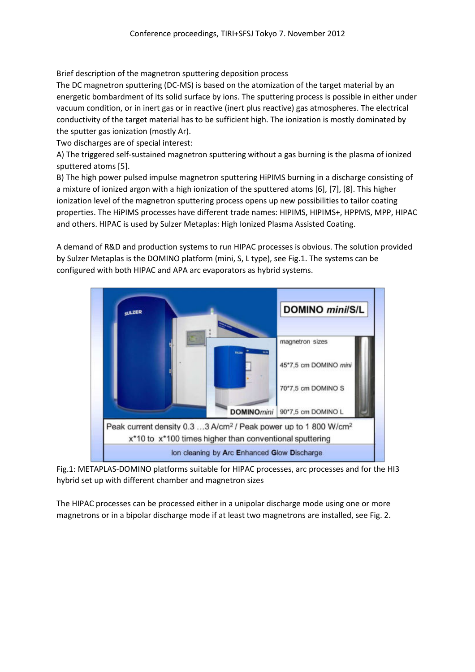Brief description of the magnetron sputtering deposition process

The DC magnetron sputtering (DC-MS) is based on the atomization of the target material by an energetic bombardment of its solid surface by ions. The sputtering process is possible in either under vacuum condition, or in inert gas or in reactive (inert plus reactive) gas atmospheres. The electrical conductivity of the target material has to be sufficient high. The ionization is mostly dominated by the sputter gas ionization (mostly Ar).

Two discharges are of special interest:

A) The triggered self-sustained magnetron sputtering without a gas burning is the plasma of ionized sputtered atoms [5].

B) The high power pulsed impulse magnetron sputtering HiPIMS burning in a discharge consisting of a mixture of ionized argon with a high ionization of the sputtered atoms [6], [7], [8]. This higher ionization level of the magnetron sputtering process opens up new possibilities to tailor coating properties. The HiPIMS processes have different trade names: HIPIMS, HIPIMS+, HPPMS, MPP, HIPAC and others. HIPAC is used by Sulzer Metaplas: High Ionized Plasma Assisted Coating.

A demand of R&D and production systems to run HIPAC processes is obvious. The solution provided by Sulzer Metaplas is the DOMINO platform (mini, S, L type), see Fig.1. The systems can be configured with both HIPAC and APA arc evaporators as hybrid systems.



Fig.1: METAPLAS-DOMINO platforms suitable for HIPAC processes, arc processes and for the HI3 hybrid set up with different chamber and magnetron sizes

The HIPAC processes can be processed either in a unipolar discharge mode using one or more magnetrons or in a bipolar discharge mode if at least two magnetrons are installed, see Fig. 2.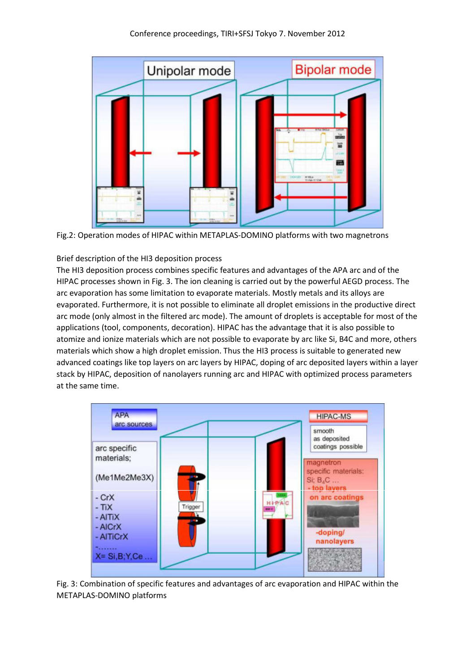

Fig.2: Operation modes of HIPAC within METAPLAS-DOMINO platforms with two magnetrons

## Brief description of the HI3 deposition process

The HI3 deposition process combines specific features and advantages of the APA arc and of the HIPAC processes shown in Fig. 3. The ion cleaning is carried out by the powerful AEGD process. The arc evaporation has some limitation to evaporate materials. Mostly metals and its alloys are evaporated. Furthermore, it is not possible to eliminate all droplet emissions in the productive direct arc mode (only almost in the filtered arc mode). The amount of droplets is acceptable for most of the applications (tool, components, decoration). HIPAC has the advantage that it is also possible to atomize and ionize materials which are not possible to evaporate by arc like Si, B4C and more, others materials which show a high droplet emission. Thus the HI3 process is suitable to generated new advanced coatings like top layers on arc layers by HIPAC, doping of arc deposited layers within a layer stack by HIPAC, deposition of nanolayers running arc and HIPAC with optimized process parameters at the same time.



Fig. 3: Combination of specific features and advantages of arc evaporation and HIPAC within the METAPLAS-DOMINO platforms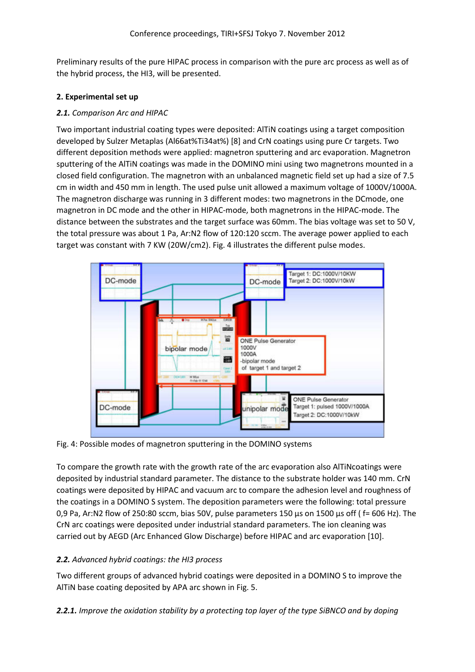Preliminary results of the pure HIPAC process in comparison with the pure arc process as well as of the hybrid process, the HI3, will be presented.

## **2. Experimental set up**

### *2.1. Comparison Arc and HIPAC*

Two important industrial coating types were deposited: AlTiN coatings using a target composition developed by Sulzer Metaplas (Al66at%Ti34at%) [8] and CrN coatings using pure Cr targets. Two different deposition methods were applied: magnetron sputtering and arc evaporation. Magnetron sputtering of the AlTiN coatings was made in the DOMINO mini using two magnetrons mounted in a closed field configuration. The magnetron with an unbalanced magnetic field set up had a size of 7.5 cm in width and 450 mm in length. The used pulse unit allowed a maximum voltage of 1000V/1000A. The magnetron discharge was running in 3 different modes: two magnetrons in the DCmode, one magnetron in DC mode and the other in HIPAC-mode, both magnetrons in the HIPAC-mode. The distance between the substrates and the target surface was 60mm. The bias voltage was set to 50 V, the total pressure was about 1 Pa, Ar:N2 flow of 120:120 sccm. The average power applied to each target was constant with 7 KW (20W/cm2). Fig. 4 illustrates the different pulse modes.



Fig. 4: Possible modes of magnetron sputtering in the DOMINO systems

To compare the growth rate with the growth rate of the arc evaporation also AlTiNcoatings were deposited by industrial standard parameter. The distance to the substrate holder was 140 mm. CrN coatings were deposited by HIPAC and vacuum arc to compare the adhesion level and roughness of the coatings in a DOMINO S system. The deposition parameters were the following: total pressure 0,9 Pa, Ar:N2 flow of 250:80 sccm, bias 50V, pulse parameters 150  $\mu$ s on 1500  $\mu$ s off (f= 606 Hz). The CrN arc coatings were deposited under industrial standard parameters. The ion cleaning was carried out by AEGD (Arc Enhanced Glow Discharge) before HIPAC and arc evaporation [10].

## *2.2. Advanced hybrid coatings: the HI3 process*

Two different groups of advanced hybrid coatings were deposited in a DOMINO S to improve the AlTiN base coating deposited by APA arc shown in Fig. 5.

*2.2.1. Improve the oxidation stability by a protecting top layer of the type SiBNCO and by doping*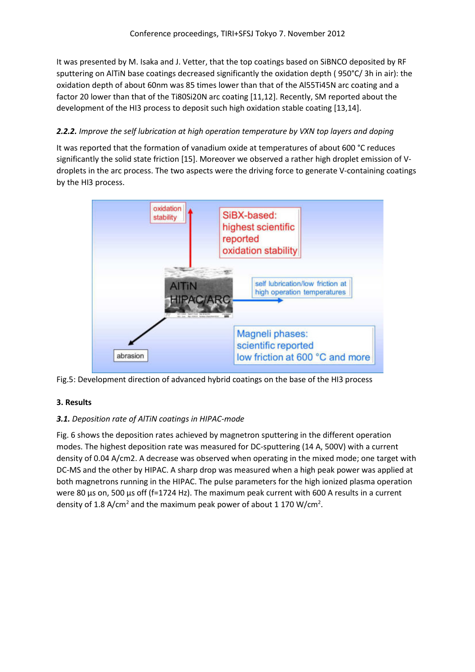It was presented by M. Isaka and J. Vetter, that the top coatings based on SiBNCO deposited by RF sputtering on AlTiN base coatings decreased significantly the oxidation depth ( 950°C/ 3h in air): the oxidation depth of about 60nm was 85 times lower than that of the Al55Ti45N arc coating and a factor 20 lower than that of the Ti80Si20N arc coating [11,12]. Recently, SM reported about the development of the HI3 process to deposit such high oxidation stable coating [13,14].

## *2.2.2. Improve the self lubrication at high operation temperature by VXN top layers and doping*

It was reported that the formation of vanadium oxide at temperatures of about 600 °C reduces significantly the solid state friction [15]. Moreover we observed a rather high droplet emission of Vdroplets in the arc process. The two aspects were the driving force to generate V-containing coatings by the HI3 process.



Fig.5: Development direction of advanced hybrid coatings on the base of the HI3 process

## **3. Results**

## *3.1. Deposition rate of AlTiN coatings in HIPAC-mode*

Fig. 6 shows the deposition rates achieved by magnetron sputtering in the different operation modes. The highest deposition rate was measured for DC-sputtering (14 A, 500V) with a current density of 0.04 A/cm2. A decrease was observed when operating in the mixed mode; one target with DC-MS and the other by HIPAC. A sharp drop was measured when a high peak power was applied at both magnetrons running in the HIPAC. The pulse parameters for the high ionized plasma operation were 80 μs on, 500 μs off (f=1724 Hz). The maximum peak current with 600 A results in a current density of 1.8 A/cm<sup>2</sup> and the maximum peak power of about 1 170 W/cm<sup>2</sup>.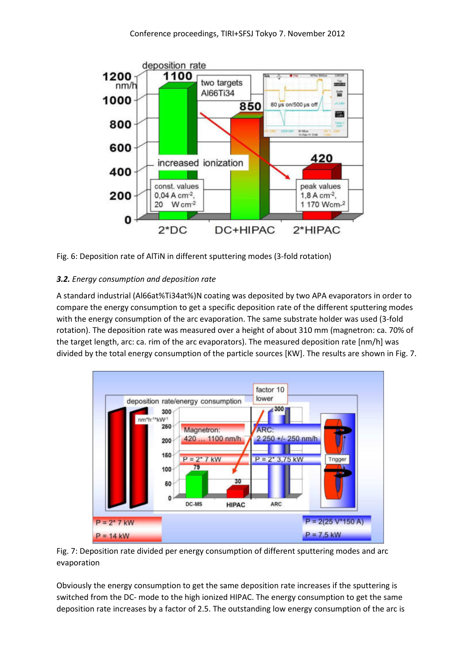

Fig. 6: Deposition rate of AlTiN in different sputtering modes (3-fold rotation)

## *3.2. Energy consumption and deposition rate*

A standard industrial (Al66at%Ti34at%)N coating was deposited by two APA evaporators in order to compare the energy consumption to get a specific deposition rate of the different sputtering modes with the energy consumption of the arc evaporation. The same substrate holder was used (3-fold rotation). The deposition rate was measured over a height of about 310 mm (magnetron: ca. 70% of the target length, arc: ca. rim of the arc evaporators). The measured deposition rate [nm/h] was divided by the total energy consumption of the particle sources [KW]. The results are shown in Fig. 7.



Fig. 7: Deposition rate divided per energy consumption of different sputtering modes and arc evaporation

Obviously the energy consumption to get the same deposition rate increases if the sputtering is switched from the DC- mode to the high ionized HIPAC. The energy consumption to get the same deposition rate increases by a factor of 2.5. The outstanding low energy consumption of the arc is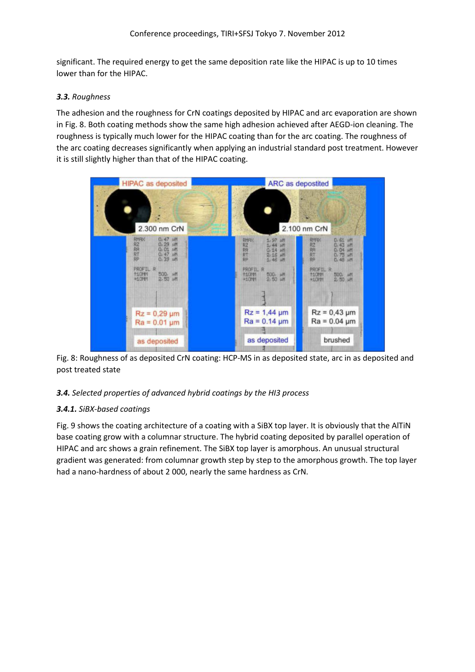significant. The required energy to get the same deposition rate like the HIPAC is up to 10 times lower than for the HIPAC.

#### *3.3. Roughness*

The adhesion and the roughness for CrN coatings deposited by HIPAC and arc evaporation are shown in Fig. 8. Both coating methods show the same high adhesion achieved after AEGD-ion cleaning. The roughness is typically much lower for the HIPAC coating than for the arc coating. The roughness of the arc coating decreases significantly when applying an industrial standard post treatment. However it is still slightly higher than that of the HIPAC coating.



Fig. 8: Roughness of as deposited CrN coating: HCP-MS in as deposited state, arc in as deposited and post treated state

## *3.4. Selected properties of advanced hybrid coatings by the HI3 process*

## *3.4.1. SiBX-based coatings*

Fig. 9 shows the coating architecture of a coating with a SiBX top layer. It is obviously that the AlTiN base coating grow with a columnar structure. The hybrid coating deposited by parallel operation of HIPAC and arc shows a grain refinement. The SiBX top layer is amorphous. An unusual structural gradient was generated: from columnar growth step by step to the amorphous growth. The top layer had a nano-hardness of about 2 000, nearly the same hardness as CrN.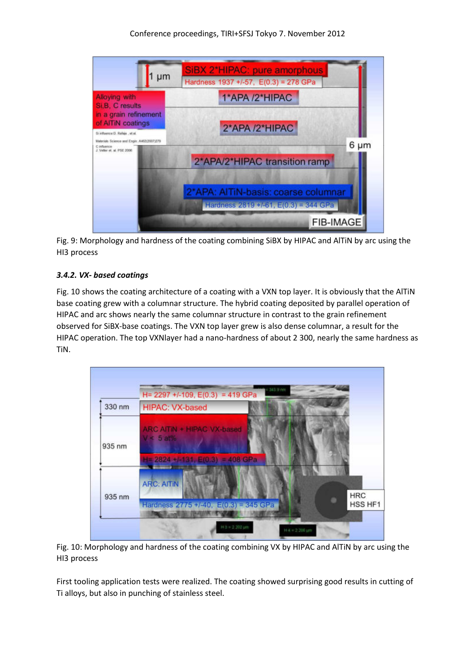

Fig. 9: Morphology and hardness of the coating combining SiBX by HIPAC and AlTiN by arc using the HI3 process

# *3.4.2. VX- based coatings*

Fig. 10 shows the coating architecture of a coating with a VXN top layer. It is obviously that the AlTiN base coating grew with a columnar structure. The hybrid coating deposited by parallel operation of HIPAC and arc shows nearly the same columnar structure in contrast to the grain refinement observed for SiBX-base coatings. The VXN top layer grew is also dense columnar, a result for the HIPAC operation. The top VXNlayer had a nano-hardness of about 2 300, nearly the same hardness as TiN.



Fig. 10: Morphology and hardness of the coating combining VX by HIPAC and AlTiN by arc using the HI3 process

First tooling application tests were realized. The coating showed surprising good results in cutting of Ti alloys, but also in punching of stainless steel.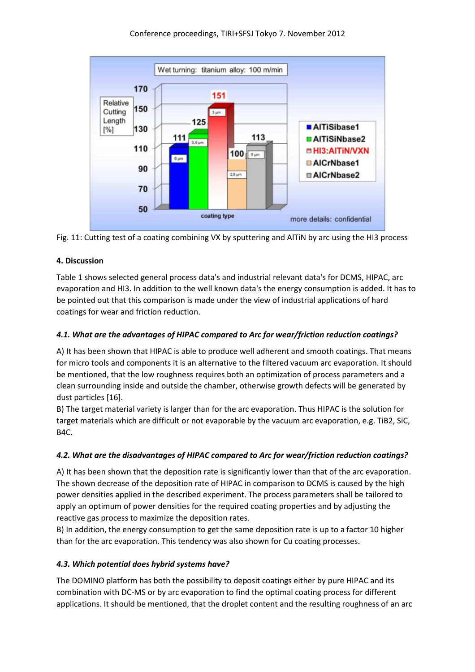



## **4. Discussion**

Table 1 shows selected general process data's and industrial relevant data's for DCMS, HIPAC, arc evaporation and HI3. In addition to the well known data's the energy consumption is added. It has to be pointed out that this comparison is made under the view of industrial applications of hard coatings for wear and friction reduction.

## *4.1. What are the advantages of HIPAC compared to Arc for wear/friction reduction coatings?*

A) It has been shown that HIPAC is able to produce well adherent and smooth coatings. That means for micro tools and components it is an alternative to the filtered vacuum arc evaporation. It should be mentioned, that the low roughness requires both an optimization of process parameters and a clean surrounding inside and outside the chamber, otherwise growth defects will be generated by dust particles [16].

B) The target material variety is larger than for the arc evaporation. Thus HIPAC is the solution for target materials which are difficult or not evaporable by the vacuum arc evaporation, e.g. TiB2, SiC, B4C.

# *4.2. What are the disadvantages of HIPAC compared to Arc for wear/friction reduction coatings?*

A) It has been shown that the deposition rate is significantly lower than that of the arc evaporation. The shown decrease of the deposition rate of HIPAC in comparison to DCMS is caused by the high power densities applied in the described experiment. The process parameters shall be tailored to apply an optimum of power densities for the required coating properties and by adjusting the reactive gas process to maximize the deposition rates.

B) In addition, the energy consumption to get the same deposition rate is up to a factor 10 higher than for the arc evaporation. This tendency was also shown for Cu coating processes.

## *4.3. Which potential does hybrid systems have?*

The DOMINO platform has both the possibility to deposit coatings either by pure HIPAC and its combination with DC-MS or by arc evaporation to find the optimal coating process for different applications. It should be mentioned, that the droplet content and the resulting roughness of an arc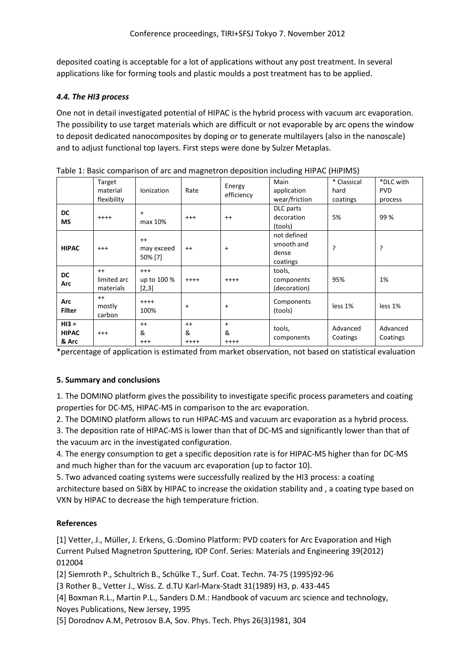deposited coating is acceptable for a lot of applications without any post treatment. In several applications like for forming tools and plastic moulds a post treatment has to be applied.

## *4.4. The HI3 process*

One not in detail investigated potential of HIPAC is the hybrid process with vacuum arc evaporation. The possibility to use target materials which are difficult or not evaporable by arc opens the window to deposit dedicated nanocomposites by doping or to generate multilayers (also in the nanoscale) and to adjust functional top layers. First steps were done by Sulzer Metaplas.

| <u>1886 - Pasic companson or are and magnetion aeposition meldang nin Ale (1111-1119)</u> |                                   |                                    |                     |                      |                                                |                                 |                                    |
|-------------------------------------------------------------------------------------------|-----------------------------------|------------------------------------|---------------------|----------------------|------------------------------------------------|---------------------------------|------------------------------------|
|                                                                                           | Target<br>material<br>flexibility | <b>Ionization</b>                  | Rate                | Energy<br>efficiency | Main<br>application<br>wear/friction           | * Classical<br>hard<br>coatings | *DLC with<br><b>PVD</b><br>process |
| DC<br>ΜS                                                                                  | $++++$                            | $\ddot{}$<br>max 10%               | $^{+++}$            | $^{++}$              | DLC parts<br>decoration<br>(tools)             | 5%                              | 99 %                               |
| <b>HIPAC</b>                                                                              | $^{+++}$                          | $++$<br>may exceed<br>50% [7]      | $^{++}$             | $\ddot{}$            | not defined<br>smooth and<br>dense<br>coatings | ?                               | ?                                  |
| DC<br>Arc                                                                                 | $++$<br>limited arc<br>materials  | $^{+++}$<br>up to 100 %<br>$[2,3]$ | $++++$              | $++++$               | tools,<br>components<br>(decoration)           | 95%                             | 1%                                 |
| Arc<br><b>Filter</b>                                                                      | $++$<br>mostly<br>carbon          | $++++$<br>100%                     | $\ddot{}$           | $\ddot{}$            | Components<br>(tools)                          | less 1%                         | less 1%                            |
| $H13 =$<br><b>HIPAC</b><br>& Arc                                                          | $^{+++}$                          | $++$<br>&<br>$^{+++}$              | $++$<br>&<br>$++++$ | $+$<br>&<br>$++++$   | tools,<br>components                           | Advanced<br>Coatings            | Advanced<br>Coatings               |

Table 1: Basic comparison of arc and magnetron deposition including HIPAC (HiPIMS)

\*percentage of application is estimated from market observation, not based on statistical evaluation

# **5. Summary and conclusions**

1. The DOMINO platform gives the possibility to investigate specific process parameters and coating properties for DC-MS, HIPAC-MS in comparison to the arc evaporation.

2. The DOMINO platform allows to run HIPAC-MS and vacuum arc evaporation as a hybrid process.

3. The deposition rate of HIPAC-MS is lower than that of DC-MS and significantly lower than that of the vacuum arc in the investigated configuration.

4. The energy consumption to get a specific deposition rate is for HIPAC-MS higher than for DC-MS and much higher than for the vacuum arc evaporation (up to factor 10).

5. Two advanced coating systems were successfully realized by the HI3 process: a coating architecture based on SiBX by HIPAC to increase the oxidation stability and , a coating type based on VXN by HIPAC to decrease the high temperature friction.

# **References**

[1] Vetter, J., Müller, J. Erkens, G.:Domino Platform: PVD coaters for Arc Evaporation and High Current Pulsed Magnetron Sputtering, IOP Conf. Series: Materials and Engineering 39(2012) 012004

[2] Siemroth P., Schultrich B., Schülke T., Surf. Coat. Techn. 74-75 (1995)92-96

[3 Rother B., Vetter J., Wiss. Z. d.TU Karl-Marx-Stadt 31(1989) H3, p. 433-445

[4] Boxman R.L., Martin P.L., Sanders D.M.: Handbook of vacuum arc science and technology, Noyes Publications, New Jersey, 1995

[5] Dorodnov A.M, Petrosov B.A, Sov. Phys. Tech. Phys 26(3)1981, 304